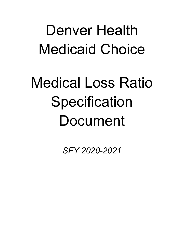## Denver Health Medicaid Choice

# Medical Loss Ratio **Specification** Document

*SFY 2020-2021*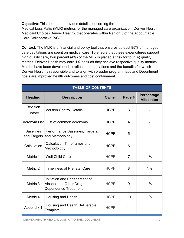**Objective**: This document provides details concerning the Medical Loss Ratio (MLR) metrics for the managed care organization, Denver Health Medicaid Choice (Denver Health), that operates within Region 5 of the Accountable Care Collaborative (ACC).

**Context**: The MLR is a financial and policy tool that ensures at least 85% of managed care capitations are spent on medical care. To ensure that these expenditures support high quality care, four percent (4%) of the MLR is placed at risk for four (4) quality metrics. Denver Health may earn 1% back as they achieve respective quality metrics. Metrics have been developed to reflect the populations and the benefits for which Denver Health is responsible and to align with broader programmatic and Department goals are improved health outcomes and cost containment.

| <b>TABLE OF CONTENTS</b>        |                                                                                              |             |                |                                        |
|---------------------------------|----------------------------------------------------------------------------------------------|-------------|----------------|----------------------------------------|
| <b>Heading</b>                  | <b>Description</b>                                                                           | Owner       | Page #         | <b>Percentage</b><br><b>Allocation</b> |
| Revision<br><b>History</b>      | <b>Version Control Details</b>                                                               | <b>HCPF</b> | 3              |                                        |
|                                 | Acronym List   List of common acronyms<br><b>HCPF</b>                                        |             | 4              |                                        |
| <b>Baselines</b><br>and Targets | Performance Baselines, Targets,<br>and Methodology                                           | <b>HCPF</b> | 5              |                                        |
| Calculation                     | <b>Calculation Timeframes and</b><br>Methodology                                             | <b>HCPF</b> | 6              |                                        |
| Metric 1                        | <b>Well Child Care</b>                                                                       | <b>HCPF</b> | $\overline{7}$ | 1%                                     |
| Metric 2                        | <b>Timeliness of Prenatal Care</b>                                                           | <b>HCPF</b> | 8              | $1\%$                                  |
| Metric 3                        | Initiation and Engagement of<br><b>Alcohol and Other Drug</b><br><b>Dependence Treatment</b> | <b>HCPF</b> | 9              | $1\%$                                  |
| Metric 4                        | <b>Housing and Health</b>                                                                    | <b>HCPF</b> | 10             | 1%                                     |
| Appendix 1                      | Housing and Health Deliverable<br>Template                                                   | <b>HCPF</b> | 11             |                                        |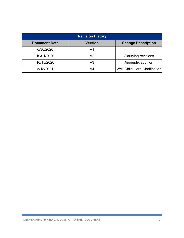| <b>Revision History</b> |                |                                      |  |  |  |
|-------------------------|----------------|--------------------------------------|--|--|--|
| <b>Document Date</b>    | <b>Version</b> | <b>Change Description</b>            |  |  |  |
| 6/30/2020               | V1             |                                      |  |  |  |
| 10/01/2020              | V2             | <b>Clarifying revisions</b>          |  |  |  |
| 10/15/2020              | V3             | Appendix addition                    |  |  |  |
| 5/18/2021               | V4             | <b>Well Child Care Clarification</b> |  |  |  |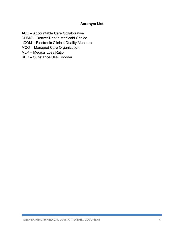## **Acronym List**

ACC – Accountable Care Collaborative

DHMC – Denver Health Medicaid Choice

eCQM – Electronic Clinical Quality Measure

MCO – Managed Care Organization

MLR – Medical Loss Ratio

SUD – Substance Use Disorder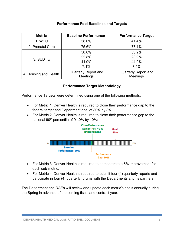#### **Performance Pool Baselines and Targets**

| <b>Metric</b>                                                           | <b>Baseline Performance</b> | <b>Performance Target</b>                      |  |
|-------------------------------------------------------------------------|-----------------------------|------------------------------------------------|--|
| 1: WCC                                                                  | 38.0%                       | 41.4%                                          |  |
| 2: Prenatal Care                                                        | 75.6%                       | 77.1%                                          |  |
|                                                                         | 50.6%                       | 53.2%                                          |  |
| $3:$ SUD Tx                                                             | 22.8%                       | 23.9%                                          |  |
|                                                                         | 41.9%                       | 44.0%                                          |  |
|                                                                         | 7.1%                        | 7.4%                                           |  |
| <b>Quarterly Report and</b><br>4: Housing and Health<br><b>Meetings</b> |                             | <b>Quarterly Report and</b><br><b>Meetings</b> |  |

#### **Performance Target Methodology**

Performance Targets were determined using one of the following methods:

- For Metric 1, Denver Health is required to close their performance gap to the federal target and Department goal of 80% by 8%;
- For Metric 2, Denver Health is required to close their performance gap to the national 90<sup>th</sup> percentile of 91.0% by 10%;



- For Metric 3, Denver Health is required to demonstrate a 5% improvement for each sub-metric;
- For Metric 4, Denver Health is required to submit four (4) quarterly reports and participate in four (4) quarterly forums with the Departments and its partners.

The Department and RAEs will review and update each metric's goals annually during the Spring in advance of the coming fiscal and contract year.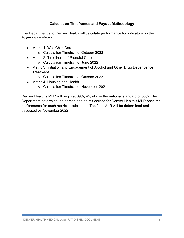## **Calculation Timeframes and Payout Methodology**

The Department and Denver Health will calculate performance for indicators on the following timeframe:

- Metric 1: Well Child Care
	- o Calculation Timeframe: October 2022
- Metric 2: Timeliness of Prenatal Care
	- o Calculation Timeframe: June 2022
- Metric 3: Initiation and Engagement of Alcohol and Other Drug Dependence **Treatment** 
	- o Calculation Timeframe: October 2022
- Metric 4: Housing and Health
	- o Calculation Timeframe: November 2021

Denver Health's MLR will begin at 89%, 4% above the national standard of 85%. The Department determine the percentage points earned for Denver Health's MLR once the performance for each metric is calculated. The final MLR will be determined and assessed by November 2022.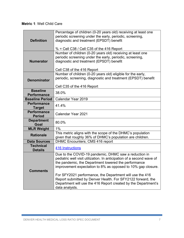## **Metric 1**: Well Child Care

| pediatric well visit utilization. In anticipation of a second wave of |
|-----------------------------------------------------------------------|
|                                                                       |
| improvement expectation to 8% as opposed to 10% gap closure.          |
|                                                                       |
|                                                                       |
|                                                                       |
| Department will use the 416 Report created by the Department's        |
|                                                                       |
| Report submitted by Denver Health. For SFY2122 forward, the           |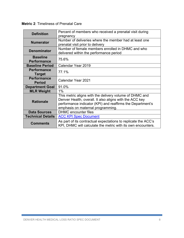| <b>Metric 2: Timeliness of Prenatal Care</b> |  |
|----------------------------------------------|--|
|----------------------------------------------|--|

| <b>Definition</b>                     | Percent of members who received a prenatal visit during<br>pregnancy                                                                                                                                                  |  |  |
|---------------------------------------|-----------------------------------------------------------------------------------------------------------------------------------------------------------------------------------------------------------------------|--|--|
| <b>Numerator</b>                      | Number of deliveries where the member had at least one<br>prenatal visit prior to delivery                                                                                                                            |  |  |
| <b>Denominator</b>                    | Number of female members enrolled in DHMC and who<br>delivered within the performance period                                                                                                                          |  |  |
| <b>Baseline</b><br><b>Performance</b> | 75.6%                                                                                                                                                                                                                 |  |  |
| <b>Baseline Period</b>                | Calendar Year 2019                                                                                                                                                                                                    |  |  |
| <b>Performance</b><br><b>Target</b>   | 77.1%                                                                                                                                                                                                                 |  |  |
| <b>Performance</b><br><b>Period</b>   | Calendar Year 2021                                                                                                                                                                                                    |  |  |
| <b>Department Goal</b>                | 91.0%                                                                                                                                                                                                                 |  |  |
| <b>MLR Weight</b>                     | 1%                                                                                                                                                                                                                    |  |  |
| <b>Rationale</b>                      | This metric aligns with the delivery volume of DHMC and<br>Denver Health, overall. It also aligns with the ACC key<br>performance indicator (KPI) and reaffirms the Department's<br>emphasis on maternal programming. |  |  |
| <b>Data Sources</b>                   | <b>DHMC</b> encounter files                                                                                                                                                                                           |  |  |
| <b>Technical Details</b>              | <b>ACC KPI Spec Document</b>                                                                                                                                                                                          |  |  |
| <b>Comments</b>                       | As part of its contractual expectations to replicate the ACC's<br>KPI, DHMC will calculate the metric with its own encounters.                                                                                        |  |  |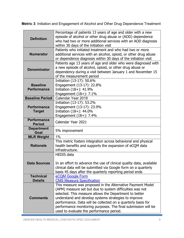**Metric 3**: Initiation and Engagement of Alcohol and Other Drug Dependence Treatment

|                                       | Percentage of patients 13 years of age and older with a new<br>episode of alcohol or other drug abuse or (AOD) dependence                    |
|---------------------------------------|----------------------------------------------------------------------------------------------------------------------------------------------|
| <b>Definition</b>                     | who had two or more additional services with an AOD diagnosis                                                                                |
|                                       | within 30 days of the initiation visit                                                                                                       |
|                                       | Patients who initiated treatment and who had two or more                                                                                     |
| <b>Numerator</b>                      | additional services with an alcohol, opioid, or other drug abuse                                                                             |
|                                       | or dependence diagnosis within 30 days of the initiation visit                                                                               |
|                                       | Patients age 13 years of age and older who were diagnosed with                                                                               |
| <b>Denominator</b>                    | a new episode of alcohol, opioid, or other drug abuse or                                                                                     |
|                                       | dependency during a visit between January 1 and November 15                                                                                  |
|                                       | of the measurement period                                                                                                                    |
|                                       | Initiation (13-17): 50.6%                                                                                                                    |
| <b>Baseline</b><br><b>Performance</b> | Engagement (13-17): 22.8%                                                                                                                    |
|                                       | Initiation (18+): 41.9%                                                                                                                      |
| <b>Baseline Period</b>                | Engagement $(18+)$ : 7.1%<br>Calendar Year 2019                                                                                              |
|                                       | Initiation (13-17): 53.2%                                                                                                                    |
| <b>Performance</b>                    | Engagement (13-17): 23.9%                                                                                                                    |
| <b>Target</b>                         | Initiation (18+): 44.0%                                                                                                                      |
|                                       | Engagement $(18+)$ : 7.4%                                                                                                                    |
| <b>Performance</b>                    |                                                                                                                                              |
| <b>Period</b>                         | Calendar Year 2021                                                                                                                           |
| <b>Department</b><br>Goal             | 5% improvement                                                                                                                               |
| <b>MLR Weight</b>                     | $1\%$                                                                                                                                        |
| <b>Rationale</b>                      | This metric fosters integration across behavioral and physical<br>health benefits and supports the expansion of eCQM data<br>infrastructure. |
|                                       | <b>HEDIS data</b>                                                                                                                            |
|                                       |                                                                                                                                              |
| <b>Data Sources</b>                   | In an effort to advance the use of clinical quality data, available                                                                          |
|                                       | clinical data will be submitted via Google form on a quarterly                                                                               |
|                                       | basis 45 days after the quarterly reporting period ends                                                                                      |
| <b>Technical</b>                      | eCQM Google Form                                                                                                                             |
| <b>Details</b>                        | <b>CMS Measure Specification</b>                                                                                                             |
|                                       | This measure was proposed in the Alternative Payment Model<br>(APM) measure set but due to system difficulties was not                       |
|                                       | selected. This measure allows the Department to better                                                                                       |
| <b>Comments</b>                       | understand and develop systems strategies to improve                                                                                         |
|                                       | performance. Data will be collected on a quarterly basis for                                                                                 |
|                                       | performance monitoring purposes. The final submission will be                                                                                |
|                                       | used to evaluate the performance period.                                                                                                     |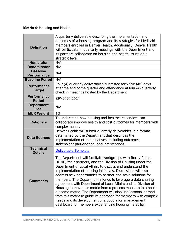## **Metric 4**: Housing and Health

| <b>Definition</b>                     | A quarterly deliverable describing the implementation and<br>outcomes of a housing program and its strategies for Medicaid<br>members enrolled in Denver Health. Additionally, Denver Health<br>will participate in quarterly meetings with the Department and<br>its partners collaborate on housing and health issues on a<br>strategic level.                                                                                                                                                                                                                                                                                                                                                                                                                                |
|---------------------------------------|---------------------------------------------------------------------------------------------------------------------------------------------------------------------------------------------------------------------------------------------------------------------------------------------------------------------------------------------------------------------------------------------------------------------------------------------------------------------------------------------------------------------------------------------------------------------------------------------------------------------------------------------------------------------------------------------------------------------------------------------------------------------------------|
| <b>Numerator</b>                      | N/A                                                                                                                                                                                                                                                                                                                                                                                                                                                                                                                                                                                                                                                                                                                                                                             |
| <b>Denominator</b>                    | N/A                                                                                                                                                                                                                                                                                                                                                                                                                                                                                                                                                                                                                                                                                                                                                                             |
| <b>Baseline</b><br><b>Performance</b> | N/A                                                                                                                                                                                                                                                                                                                                                                                                                                                                                                                                                                                                                                                                                                                                                                             |
| <b>Baseline Period</b>                | N/A                                                                                                                                                                                                                                                                                                                                                                                                                                                                                                                                                                                                                                                                                                                                                                             |
| <b>Performance</b><br><b>Target</b>   | Four (4) quarterly deliverables submitted forty-five (45) days<br>after the end of the quarter and attendance at four (4) quarterly<br>check in meetings hosted by the Department                                                                                                                                                                                                                                                                                                                                                                                                                                                                                                                                                                                               |
| <b>Performance</b><br><b>Period</b>   | SFY2020-2021                                                                                                                                                                                                                                                                                                                                                                                                                                                                                                                                                                                                                                                                                                                                                                    |
| <b>Department</b><br>Goal             | N/A                                                                                                                                                                                                                                                                                                                                                                                                                                                                                                                                                                                                                                                                                                                                                                             |
| <b>MLR Weight</b>                     | $1\%$                                                                                                                                                                                                                                                                                                                                                                                                                                                                                                                                                                                                                                                                                                                                                                           |
| <b>Rationale</b>                      | To understand how housing and healthcare services can<br>collaborate improve health and cost outcomes for members with<br>complex needs.                                                                                                                                                                                                                                                                                                                                                                                                                                                                                                                                                                                                                                        |
| <b>Data Sources</b>                   | Denver Health will submit quarterly deliverables in a format<br>determined by the Department that describes the<br>implementation of the initiatives, including outcomes,<br>stakeholder participation, and interventions.                                                                                                                                                                                                                                                                                                                                                                                                                                                                                                                                                      |
| <b>Technical</b><br><b>Details</b>    | <b>Deliverable Template</b>                                                                                                                                                                                                                                                                                                                                                                                                                                                                                                                                                                                                                                                                                                                                                     |
| <b>Comments</b>                       | The Department will facilitate workgroups with Rocky Prime,<br>DHMC, their partners, and the Division of Housing under the<br>Department of Local Affairs to discuss and understand the<br>implementation of housing initiatives. Discussions will also<br>address new opportunities to partner and scale solutions for<br>members. The Department intends to leverage a data sharing<br>agreement with Department of Local Affairs and its Division of<br>Housing to move this metric from a process measure to a health<br>outcome metric. The Department will also use lessons learned<br>from this metric to guide its approach for members with complex<br>needs and its development of a population management<br>dashboard for members experiencing housing instability. |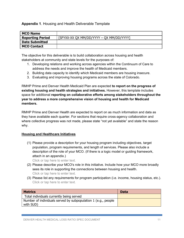#### **Appendix 1**. Housing and Health Deliverable Template

| <b>MCO Name</b>         |                                          |
|-------------------------|------------------------------------------|
| <b>Reporting Period</b> | [SFYXX-XX QX MM/DD/YYYY - QX MM/DD/YYYY] |
| <b>Date Submitted</b>   |                                          |
| <b>MCO Contact</b>      |                                          |

The objective for this deliverable is to build collaboration across housing and health stakeholders at community and state levels for the purposes of:

- 1. Developing relations and working across agencies within the Continuum of Care to address the needs and improve the health of Medicaid members.
- 2. Building data capacity to identify which Medicaid members are housing insecure.
- 3. Evaluating and improving housing programs across the state of Colorado.

RMHP Prime and Denver Health Medicaid Plan are expected **to report on the progress of existing housing and health strategies and initiatives.** However, this template includes space for additional **reporting on collaborative efforts among stakeholders throughout the year to address a more comprehensive vision of housing and health for Medicaid members.** 

RMHP Prime and Denver Health are expected to report on as much information and data as they have available each quarter. For sections that require cross-agency collaboration and where collective progress was not made, please state "not yet available" and state the reason why.

#### **Housing and Healthcare Initiatives**

(1) Please provide a description for your housing program including objectives, target population, program requirements, and length of services. Please also include a description of the role of your MCO. (If there is a logic model or guiding framework, attach in an appendix.)

Click or tap here to enter text.

- (2) Please describe your MCO's role in this initiative. Include how your MCO more broadly sees its role in supporting the connections between housing and health. Click or tap here to enter text.
- (3) Please list any requirements for program participation (i.e. income, housing status, etc.). Click or tap here to enter text.

| <b>Metrics</b>                                                | <b>Data</b> |
|---------------------------------------------------------------|-------------|
| Total individuals currently being served                      |             |
| Number of individuals served by subpopulation 1 (e.g., people |             |
| with SUD)                                                     |             |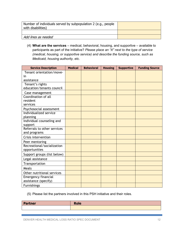| Number of individuals served by subpopulation 2 (e.g., people<br>with disabilities) |  |
|-------------------------------------------------------------------------------------|--|
|                                                                                     |  |
| Add lines as needed                                                                 |  |

(4) **What are the services** – medical, behavioral, housing, and supportive – available to participants as part of the initiative? *Please place an "X" next to the type of service (medical, housing, or supportive service) and describe the funding source, such as Medicaid, housing authority, etc.*

| <b>Service Description</b>  | <b>Medical</b> | <b>Behavioral</b> | <b>Housing</b> | <b>Supportive</b> | <b>Funding Source</b> |
|-----------------------------|----------------|-------------------|----------------|-------------------|-----------------------|
| Tenant orientation/move-    |                |                   |                |                   |                       |
| in                          |                |                   |                |                   |                       |
| assistance                  |                |                   |                |                   |                       |
| Tenant's rights             |                |                   |                |                   |                       |
| education/tenants council   |                |                   |                |                   |                       |
| Case management             |                |                   |                |                   |                       |
| Coordination of all         |                |                   |                |                   |                       |
| resident                    |                |                   |                |                   |                       |
| services                    |                |                   |                |                   |                       |
| Psychosocial assessment     |                |                   |                |                   |                       |
| Individualized service      |                |                   |                |                   |                       |
| planning                    |                |                   |                |                   |                       |
| Individual counseling and   |                |                   |                |                   |                       |
| support                     |                |                   |                |                   |                       |
| Referrals to other services |                |                   |                |                   |                       |
| and programs                |                |                   |                |                   |                       |
| Crisis intervention         |                |                   |                |                   |                       |
| Peer mentoring              |                |                   |                |                   |                       |
| Recreational/socialization  |                |                   |                |                   |                       |
| opportunities               |                |                   |                |                   |                       |
| Support groups (list below) |                |                   |                |                   |                       |
| Legal assistance            |                |                   |                |                   |                       |
| Transportation              |                |                   |                |                   |                       |
| Meals                       |                |                   |                |                   |                       |
| Other nutritional services  |                |                   |                |                   |                       |
| <b>Emergency financial</b>  |                |                   |                |                   |                       |
| assistance (specify)        |                |                   |                |                   |                       |
| <b>Furnishings</b>          |                |                   |                |                   |                       |

(5) Please list the partners involved in this PSH initiative and their roles.

| Partner | <b>Role</b> |
|---------|-------------|
|         |             |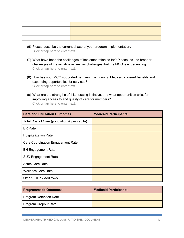- (6) Please describe the current phase of your program implementation. Click or tap here to enter text.
- (7) What have been the challenges of implementation so far? Please include broader challenges of the initiative as well as challenges that the MCO is experiencing. Click or tap here to enter text.
- (8) How has your MCO supported partners in explaining Medicaid covered benefits and expanding opportunities for services? Click or tap here to enter text.
- (9) What are the strengths of this housing initiative, and what opportunities exist for improving access to and quality of care for members? Click or tap here to enter text.

| <b>Care and Utilization Outcomes</b>         | <b>Medicaid Participants</b> |
|----------------------------------------------|------------------------------|
| Total Cost of Care (population & per capita) |                              |
| <b>ER Rate</b>                               |                              |
| <b>Hospitalization Rate</b>                  |                              |
| Care Coordination Engagement Rate            |                              |
| <b>BH Engagement Rate</b>                    |                              |
| <b>SUD Engagement Rate</b>                   |                              |
| <b>Acute Care Rate</b>                       |                              |
| <b>Wellness Care Rate</b>                    |                              |
| Other (Fill in / Add rows                    |                              |

| <b>Programmatic Outcomes</b> | <b>Medicaid Participants</b> |
|------------------------------|------------------------------|
| Program Retention Rate       |                              |
| Program Dropout Rate         |                              |